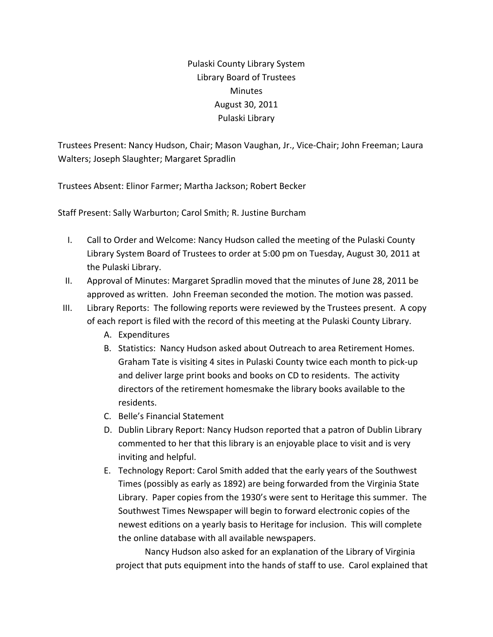Pulaski County Library System Library Board of Trustees Minutes August 30, 2011 Pulaski Library

Trustees Present: Nancy Hudson, Chair; Mason Vaughan, Jr., Vice‐Chair; John Freeman; Laura Walters; Joseph Slaughter; Margaret Spradlin

Trustees Absent: Elinor Farmer; Martha Jackson; Robert Becker

Staff Present: Sally Warburton; Carol Smith; R. Justine Burcham

- I. Call to Order and Welcome: Nancy Hudson called the meeting of the Pulaski County Library System Board of Trustees to order at 5:00 pm on Tuesday, August 30, 2011 at the Pulaski Library.
- II. Approval of Minutes: Margaret Spradlin moved that the minutes of June 28, 2011 be approved as written. John Freeman seconded the motion. The motion was passed.
- III. Library Reports: The following reports were reviewed by the Trustees present. A copy of each report is filed with the record of this meeting at the Pulaski County Library.
	- A. Expenditures
	- B. Statistics: Nancy Hudson asked about Outreach to area Retirement Homes. Graham Tate is visiting 4 sites in Pulaski County twice each month to pick‐up and deliver large print books and books on CD to residents. The activity directors of the retirement homesmake the library books available to the residents.
	- C. Belle's Financial Statement
	- D. Dublin Library Report: Nancy Hudson reported that a patron of Dublin Library commented to her that this library is an enjoyable place to visit and is very inviting and helpful.
	- E. Technology Report: Carol Smith added that the early years of the Southwest Times (possibly as early as 1892) are being forwarded from the Virginia State Library. Paper copies from the 1930's were sent to Heritage this summer. The Southwest Times Newspaper will begin to forward electronic copies of the newest editions on a yearly basis to Heritage for inclusion. This will complete the online database with all available newspapers.

Nancy Hudson also asked for an explanation of the Library of Virginia project that puts equipment into the hands of staff to use. Carol explained that